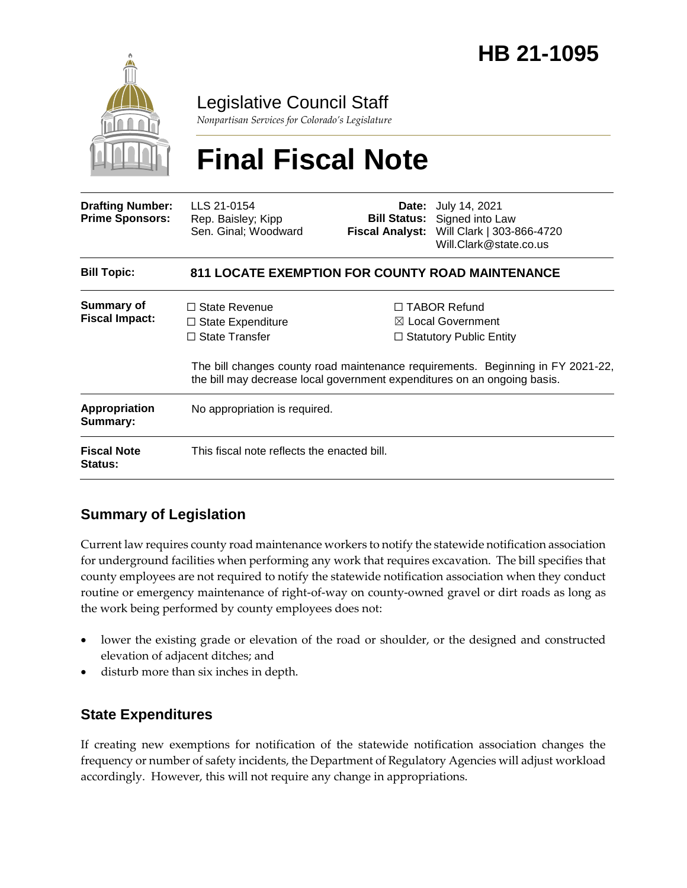

Legislative Council Staff

*Nonpartisan Services for Colorado's Legislature*

# **Final Fiscal Note**

| <b>Drafting Number:</b><br><b>Prime Sponsors:</b> | LLS 21-0154<br>Rep. Baisley; Kipp<br>Sen. Ginal; Woodward                                                                                             |  | <b>Date:</b> July 14, 2021<br><b>Bill Status:</b> Signed into Law<br>Fiscal Analyst: Will Clark   303-866-4720<br>Will.Clark@state.co.us                                 |
|---------------------------------------------------|-------------------------------------------------------------------------------------------------------------------------------------------------------|--|--------------------------------------------------------------------------------------------------------------------------------------------------------------------------|
| <b>Bill Topic:</b>                                | <b>811 LOCATE EXEMPTION FOR COUNTY ROAD MAINTENANCE</b>                                                                                               |  |                                                                                                                                                                          |
| <b>Summary of</b><br><b>Fiscal Impact:</b>        | $\Box$ State Revenue<br>$\Box$ State Expenditure<br>$\Box$ State Transfer<br>the bill may decrease local government expenditures on an ongoing basis. |  | $\Box$ TABOR Refund<br>$\boxtimes$ Local Government<br>$\Box$ Statutory Public Entity<br>The bill changes county road maintenance requirements. Beginning in FY 2021-22, |
| <b>Appropriation</b><br>Summary:                  | No appropriation is required.                                                                                                                         |  |                                                                                                                                                                          |
| <b>Fiscal Note</b><br><b>Status:</b>              | This fiscal note reflects the enacted bill.                                                                                                           |  |                                                                                                                                                                          |

# **Summary of Legislation**

Current law requires county road maintenance workers to notify the statewide notification association for underground facilities when performing any work that requires excavation. The bill specifies that county employees are not required to notify the statewide notification association when they conduct routine or emergency maintenance of right-of-way on county-owned gravel or dirt roads as long as the work being performed by county employees does not:

- lower the existing grade or elevation of the road or shoulder, or the designed and constructed elevation of adjacent ditches; and
- disturb more than six inches in depth.

# **State Expenditures**

If creating new exemptions for notification of the statewide notification association changes the frequency or number of safety incidents, the Department of Regulatory Agencies will adjust workload accordingly. However, this will not require any change in appropriations.